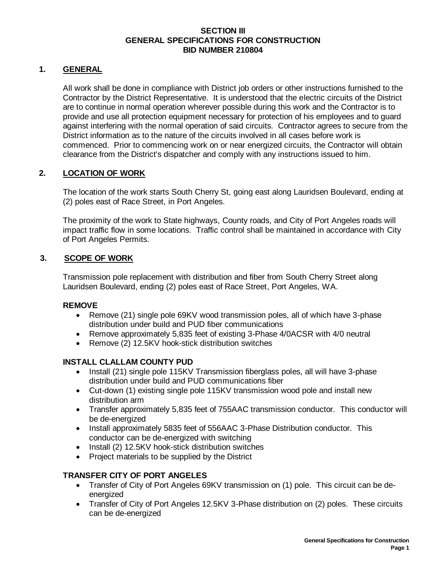## **SECTION III GENERAL SPECIFICATIONS FOR CONSTRUCTION BID NUMBER 210804**

## **1. GENERAL**

All work shall be done in compliance with District job orders or other instructions furnished to the Contractor by the District Representative. It is understood that the electric circuits of the District are to continue in normal operation wherever possible during this work and the Contractor is to provide and use all protection equipment necessary for protection of his employees and to guard against interfering with the normal operation of said circuits. Contractor agrees to secure from the District information as to the nature of the circuits involved in all cases before work is commenced. Prior to commencing work on or near energized circuits, the Contractor will obtain clearance from the District's dispatcher and comply with any instructions issued to him.

# **2. LOCATION OF WORK**

The location of the work starts South Cherry St, going east along Lauridsen Boulevard, ending at (2) poles east of Race Street, in Port Angeles.

The proximity of the work to State highways, County roads, and City of Port Angeles roads will impact traffic flow in some locations. Traffic control shall be maintained in accordance with City of Port Angeles Permits.

# **3. SCOPE OF WORK**

Transmission pole replacement with distribution and fiber from South Cherry Street along Lauridsen Boulevard, ending (2) poles east of Race Street, Port Angeles, WA.

## **REMOVE**

- Remove (21) single pole 69KV wood transmission poles, all of which have 3-phase distribution under build and PUD fiber communications
- Remove approximately 5,835 feet of existing 3-Phase 4/0ACSR with 4/0 neutral
- Remove (2) 12.5KV hook-stick distribution switches

## **INSTALL CLALLAM COUNTY PUD**

- Install (21) single pole 115KV Transmission fiberglass poles, all will have 3-phase distribution under build and PUD communications fiber
- Cut-down (1) existing single pole 115KV transmission wood pole and install new distribution arm
- Transfer approximately 5,835 feet of 755AAC transmission conductor. This conductor will be de-energized
- Install approximately 5835 feet of 556AAC 3-Phase Distribution conductor. This conductor can be de-energized with switching
- Install (2) 12.5KV hook-stick distribution switches
- Project materials to be supplied by the District

## **TRANSFER CITY OF PORT ANGELES**

- Transfer of City of Port Angeles 69KV transmission on (1) pole. This circuit can be deenergized
- Transfer of City of Port Angeles 12.5KV 3-Phase distribution on (2) poles. These circuits can be de-energized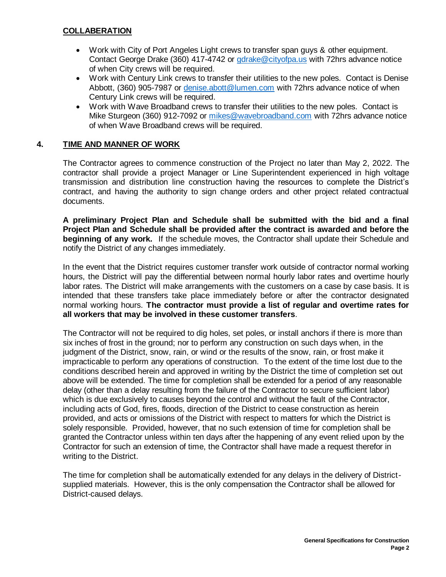## **COLLABERATION**

- Work with City of Port Angeles Light crews to transfer span guys & other equipment. Contact George Drake (360) 417-4742 or [gdrake@cityofpa.us](mailto:gdrake@cityofpa.us) with 72hrs advance notice of when City crews will be required.
- Work with Century Link crews to transfer their utilities to the new poles. Contact is Denise Abbott, (360) 905-7987 or [denise.abott@lumen.com](mailto:denise.abott@lumen.com) with 72hrs advance notice of when Century Link crews will be required.
- Work with Wave Broadband crews to transfer their utilities to the new poles. Contact is Mike Sturgeon (360) 912-7092 or [mikes@wavebroadband.com](mailto:mikes@wavebroadband.com) with 72hrs advance notice of when Wave Broadband crews will be required.

# **4. TIME AND MANNER OF WORK**

The Contractor agrees to commence construction of the Project no later than May 2, 2022. The contractor shall provide a project Manager or Line Superintendent experienced in high voltage transmission and distribution line construction having the resources to complete the District's contract, and having the authority to sign change orders and other project related contractual documents.

**A preliminary Project Plan and Schedule shall be submitted with the bid and a final Project Plan and Schedule shall be provided after the contract is awarded and before the beginning of any work.** If the schedule moves, the Contractor shall update their Schedule and notify the District of any changes immediately.

In the event that the District requires customer transfer work outside of contractor normal working hours, the District will pay the differential between normal hourly labor rates and overtime hourly labor rates. The District will make arrangements with the customers on a case by case basis. It is intended that these transfers take place immediately before or after the contractor designated normal working hours. **The contractor must provide a list of regular and overtime rates for all workers that may be involved in these customer transfers**.

The Contractor will not be required to dig holes, set poles, or install anchors if there is more than six inches of frost in the ground; nor to perform any construction on such days when, in the judgment of the District, snow, rain, or wind or the results of the snow, rain, or frost make it impracticable to perform any operations of construction. To the extent of the time lost due to the conditions described herein and approved in writing by the District the time of completion set out above will be extended. The time for completion shall be extended for a period of any reasonable delay (other than a delay resulting from the failure of the Contractor to secure sufficient labor) which is due exclusively to causes beyond the control and without the fault of the Contractor, including acts of God, fires, floods, direction of the District to cease construction as herein provided, and acts or omissions of the District with respect to matters for which the District is solely responsible. Provided, however, that no such extension of time for completion shall be granted the Contractor unless within ten days after the happening of any event relied upon by the Contractor for such an extension of time, the Contractor shall have made a request therefor in writing to the District.

The time for completion shall be automatically extended for any delays in the delivery of Districtsupplied materials. However, this is the only compensation the Contractor shall be allowed for District-caused delays.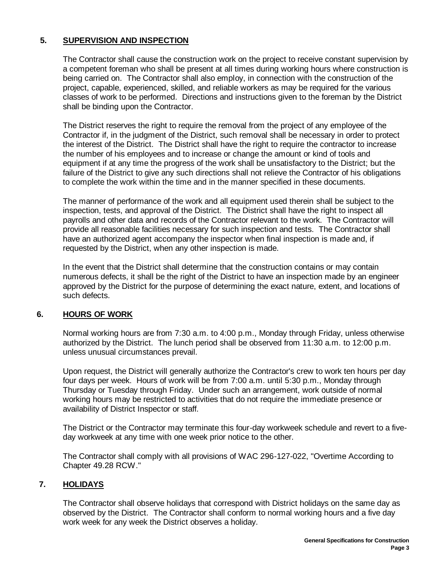# **5. SUPERVISION AND INSPECTION**

The Contractor shall cause the construction work on the project to receive constant supervision by a competent foreman who shall be present at all times during working hours where construction is being carried on. The Contractor shall also employ, in connection with the construction of the project, capable, experienced, skilled, and reliable workers as may be required for the various classes of work to be performed. Directions and instructions given to the foreman by the District shall be binding upon the Contractor.

The District reserves the right to require the removal from the project of any employee of the Contractor if, in the judgment of the District, such removal shall be necessary in order to protect the interest of the District. The District shall have the right to require the contractor to increase the number of his employees and to increase or change the amount or kind of tools and equipment if at any time the progress of the work shall be unsatisfactory to the District; but the failure of the District to give any such directions shall not relieve the Contractor of his obligations to complete the work within the time and in the manner specified in these documents.

The manner of performance of the work and all equipment used therein shall be subject to the inspection, tests, and approval of the District. The District shall have the right to inspect all payrolls and other data and records of the Contractor relevant to the work. The Contractor will provide all reasonable facilities necessary for such inspection and tests. The Contractor shall have an authorized agent accompany the inspector when final inspection is made and, if requested by the District, when any other inspection is made.

In the event that the District shall determine that the construction contains or may contain numerous defects, it shall be the right of the District to have an inspection made by an engineer approved by the District for the purpose of determining the exact nature, extent, and locations of such defects.

## **6. HOURS OF WORK**

Normal working hours are from 7:30 a.m. to 4:00 p.m., Monday through Friday, unless otherwise authorized by the District. The lunch period shall be observed from 11:30 a.m. to 12:00 p.m. unless unusual circumstances prevail.

Upon request, the District will generally authorize the Contractor's crew to work ten hours per day four days per week. Hours of work will be from 7:00 a.m. until 5:30 p.m., Monday through Thursday or Tuesday through Friday. Under such an arrangement, work outside of normal working hours may be restricted to activities that do not require the immediate presence or availability of District Inspector or staff.

The District or the Contractor may terminate this four-day workweek schedule and revert to a fiveday workweek at any time with one week prior notice to the other.

The Contractor shall comply with all provisions of WAC 296-127-022, "Overtime According to Chapter 49.28 RCW."

## **7. HOLIDAYS**

The Contractor shall observe holidays that correspond with District holidays on the same day as observed by the District. The Contractor shall conform to normal working hours and a five day work week for any week the District observes a holiday.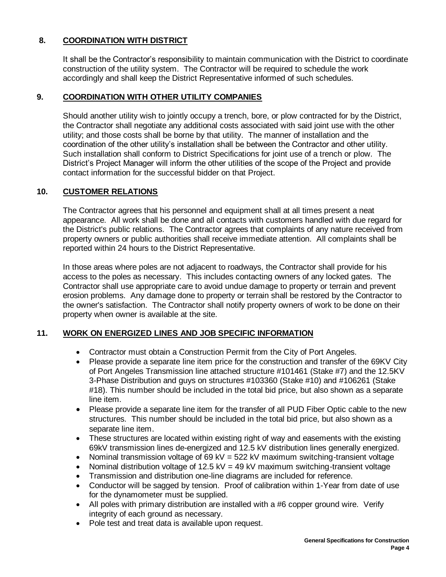# **8. COORDINATION WITH DISTRICT**

It shall be the Contractor's responsibility to maintain communication with the District to coordinate construction of the utility system. The Contractor will be required to schedule the work accordingly and shall keep the District Representative informed of such schedules.

# **9. COORDINATION WITH OTHER UTILITY COMPANIES**

Should another utility wish to jointly occupy a trench, bore, or plow contracted for by the District, the Contractor shall negotiate any additional costs associated with said joint use with the other utility; and those costs shall be borne by that utility. The manner of installation and the coordination of the other utility's installation shall be between the Contractor and other utility. Such installation shall conform to District Specifications for joint use of a trench or plow. The District's Project Manager will inform the other utilities of the scope of the Project and provide contact information for the successful bidder on that Project.

# **10. CUSTOMER RELATIONS**

The Contractor agrees that his personnel and equipment shall at all times present a neat appearance. All work shall be done and all contacts with customers handled with due regard for the District's public relations. The Contractor agrees that complaints of any nature received from property owners or public authorities shall receive immediate attention. All complaints shall be reported within 24 hours to the District Representative.

In those areas where poles are not adjacent to roadways, the Contractor shall provide for his access to the poles as necessary. This includes contacting owners of any locked gates. The Contractor shall use appropriate care to avoid undue damage to property or terrain and prevent erosion problems. Any damage done to property or terrain shall be restored by the Contractor to the owner's satisfaction. The Contractor shall notify property owners of work to be done on their property when owner is available at the site.

# **11. WORK ON ENERGIZED LINES AND JOB SPECIFIC INFORMATION**

- Contractor must obtain a Construction Permit from the City of Port Angeles.
- Please provide a separate line item price for the construction and transfer of the 69KV City of Port Angeles Transmission line attached structure #101461 (Stake #7) and the 12.5KV 3-Phase Distribution and guys on structures #103360 (Stake #10) and #106261 (Stake #18). This number should be included in the total bid price, but also shown as a separate line item.
- Please provide a separate line item for the transfer of all PUD Fiber Optic cable to the new structures. This number should be included in the total bid price, but also shown as a separate line item.
- These structures are located within existing right of way and easements with the existing 69kV transmission lines de-energized and 12.5 kV distribution lines generally energized.
- Nominal transmission voltage of 69 kV = 522 kV maximum switching-transient voltage
- Nominal distribution voltage of 12.5 kV = 49 kV maximum switching-transient voltage
- Transmission and distribution one-line diagrams are included for reference.
- Conductor will be sagged by tension. Proof of calibration within 1-Year from date of use for the dynamometer must be supplied.
- All poles with primary distribution are installed with a #6 copper ground wire. Verify integrity of each ground as necessary.
- Pole test and treat data is available upon request.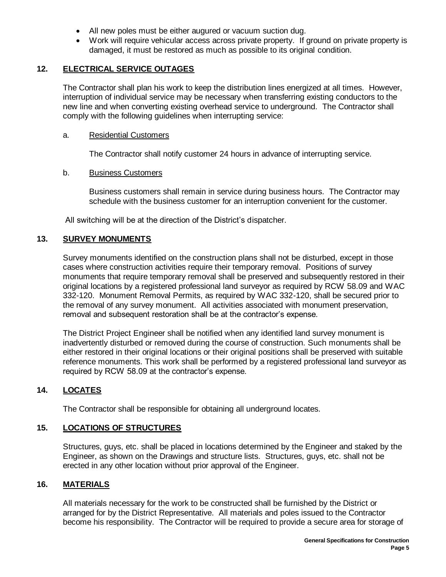- All new poles must be either augured or vacuum suction dug.
- Work will require vehicular access across private property. If ground on private property is damaged, it must be restored as much as possible to its original condition.

# **12. ELECTRICAL SERVICE OUTAGES**

The Contractor shall plan his work to keep the distribution lines energized at all times. However, interruption of individual service may be necessary when transferring existing conductors to the new line and when converting existing overhead service to underground. The Contractor shall comply with the following guidelines when interrupting service:

#### a. Residential Customers

The Contractor shall notify customer 24 hours in advance of interrupting service.

#### b. Business Customers

Business customers shall remain in service during business hours. The Contractor may schedule with the business customer for an interruption convenient for the customer.

All switching will be at the direction of the District's dispatcher.

## **13. SURVEY MONUMENTS**

Survey monuments identified on the construction plans shall not be disturbed, except in those cases where construction activities require their temporary removal. Positions of survey monuments that require temporary removal shall be preserved and subsequently restored in their original locations by a registered professional land surveyor as required by RCW 58.09 and WAC 332-120. Monument Removal Permits, as required by WAC 332-120, shall be secured prior to the removal of any survey monument. All activities associated with monument preservation, removal and subsequent restoration shall be at the contractor's expense.

The District Project Engineer shall be notified when any identified land survey monument is inadvertently disturbed or removed during the course of construction. Such monuments shall be either restored in their original locations or their original positions shall be preserved with suitable reference monuments. This work shall be performed by a registered professional land surveyor as required by RCW 58.09 at the contractor's expense.

## **14. LOCATES**

The Contractor shall be responsible for obtaining all underground locates.

## **15. LOCATIONS OF STRUCTURES**

Structures, guys, etc. shall be placed in locations determined by the Engineer and staked by the Engineer, as shown on the Drawings and structure lists. Structures, guys, etc. shall not be erected in any other location without prior approval of the Engineer.

## **16. MATERIALS**

All materials necessary for the work to be constructed shall be furnished by the District or arranged for by the District Representative. All materials and poles issued to the Contractor become his responsibility. The Contractor will be required to provide a secure area for storage of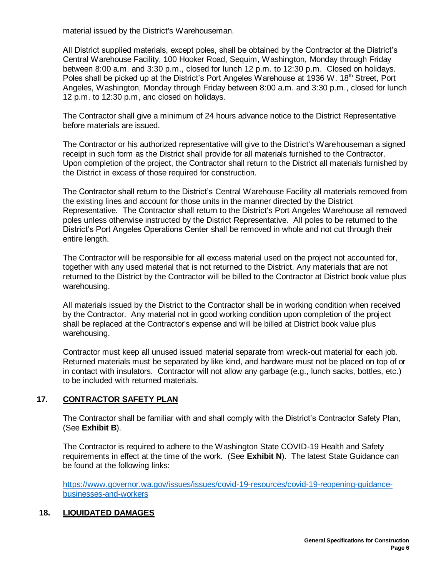material issued by the District's Warehouseman.

All District supplied materials, except poles, shall be obtained by the Contractor at the District's Central Warehouse Facility, 100 Hooker Road, Sequim, Washington, Monday through Friday between 8:00 a.m. and 3:30 p.m., closed for lunch 12 p.m. to 12:30 p.m. Closed on holidays. Poles shall be picked up at the District's Port Angeles Warehouse at 1936 W. 18<sup>th</sup> Street, Port Angeles, Washington, Monday through Friday between 8:00 a.m. and 3:30 p.m., closed for lunch 12 p.m. to 12:30 p.m, anc closed on holidays.

The Contractor shall give a minimum of 24 hours advance notice to the District Representative before materials are issued.

The Contractor or his authorized representative will give to the District's Warehouseman a signed receipt in such form as the District shall provide for all materials furnished to the Contractor. Upon completion of the project, the Contractor shall return to the District all materials furnished by the District in excess of those required for construction.

The Contractor shall return to the District's Central Warehouse Facility all materials removed from the existing lines and account for those units in the manner directed by the District Representative. The Contractor shall return to the District's Port Angeles Warehouse all removed poles unless otherwise instructed by the District Representative. All poles to be returned to the District's Port Angeles Operations Center shall be removed in whole and not cut through their entire length.

The Contractor will be responsible for all excess material used on the project not accounted for, together with any used material that is not returned to the District. Any materials that are not returned to the District by the Contractor will be billed to the Contractor at District book value plus warehousing.

All materials issued by the District to the Contractor shall be in working condition when received by the Contractor. Any material not in good working condition upon completion of the project shall be replaced at the Contractor's expense and will be billed at District book value plus warehousing.

Contractor must keep all unused issued material separate from wreck-out material for each job. Returned materials must be separated by like kind, and hardware must not be placed on top of or in contact with insulators. Contractor will not allow any garbage (e.g., lunch sacks, bottles, etc.) to be included with returned materials.

# **17. CONTRACTOR SAFETY PLAN**

The Contractor shall be familiar with and shall comply with the District's Contractor Safety Plan, (See **Exhibit B**).

The Contractor is required to adhere to the Washington State COVID-19 Health and Safety requirements in effect at the time of the work. (See **Exhibit N**). The latest State Guidance can be found at the following links:

[https://www.governor.wa.gov/issues/issues/covid-19-resources/covid-19-reopening-guidance](https://www.governor.wa.gov/issues/issues/covid-19-resources/covid-19-reopening-guidance-businesses-and-workers)[businesses-and-workers](https://www.governor.wa.gov/issues/issues/covid-19-resources/covid-19-reopening-guidance-businesses-and-workers)

# **18. LIQUIDATED DAMAGES**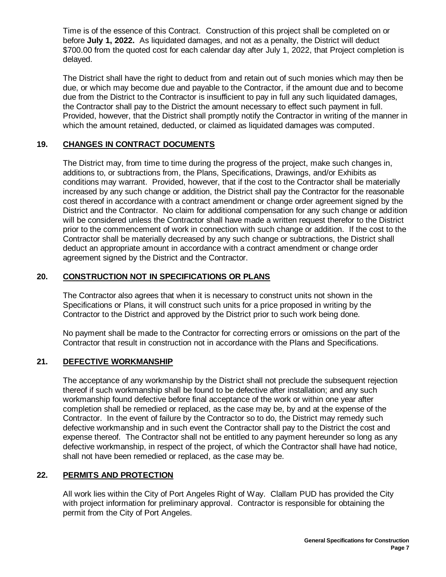Time is of the essence of this Contract. Construction of this project shall be completed on or before **July 1, 2022.** As liquidated damages, and not as a penalty, the District will deduct \$700.00 from the quoted cost for each calendar day after July 1, 2022, that Project completion is delayed.

The District shall have the right to deduct from and retain out of such monies which may then be due, or which may become due and payable to the Contractor, if the amount due and to become due from the District to the Contractor is insufficient to pay in full any such liquidated damages, the Contractor shall pay to the District the amount necessary to effect such payment in full. Provided, however, that the District shall promptly notify the Contractor in writing of the manner in which the amount retained, deducted, or claimed as liquidated damages was computed.

# **19. CHANGES IN CONTRACT DOCUMENTS**

The District may, from time to time during the progress of the project, make such changes in, additions to, or subtractions from, the Plans, Specifications, Drawings, and/or Exhibits as conditions may warrant. Provided, however, that if the cost to the Contractor shall be materially increased by any such change or addition, the District shall pay the Contractor for the reasonable cost thereof in accordance with a contract amendment or change order agreement signed by the District and the Contractor. No claim for additional compensation for any such change or addition will be considered unless the Contractor shall have made a written request therefor to the District prior to the commencement of work in connection with such change or addition. If the cost to the Contractor shall be materially decreased by any such change or subtractions, the District shall deduct an appropriate amount in accordance with a contract amendment or change order agreement signed by the District and the Contractor.

# **20. CONSTRUCTION NOT IN SPECIFICATIONS OR PLANS**

The Contractor also agrees that when it is necessary to construct units not shown in the Specifications or Plans, it will construct such units for a price proposed in writing by the Contractor to the District and approved by the District prior to such work being done.

No payment shall be made to the Contractor for correcting errors or omissions on the part of the Contractor that result in construction not in accordance with the Plans and Specifications.

## **21. DEFECTIVE WORKMANSHIP**

The acceptance of any workmanship by the District shall not preclude the subsequent rejection thereof if such workmanship shall be found to be defective after installation; and any such workmanship found defective before final acceptance of the work or within one year after completion shall be remedied or replaced, as the case may be, by and at the expense of the Contractor. In the event of failure by the Contractor so to do, the District may remedy such defective workmanship and in such event the Contractor shall pay to the District the cost and expense thereof. The Contractor shall not be entitled to any payment hereunder so long as any defective workmanship, in respect of the project, of which the Contractor shall have had notice, shall not have been remedied or replaced, as the case may be.

# **22. PERMITS AND PROTECTION**

All work lies within the City of Port Angeles Right of Way. Clallam PUD has provided the City with project information for preliminary approval. Contractor is responsible for obtaining the permit from the City of Port Angeles.